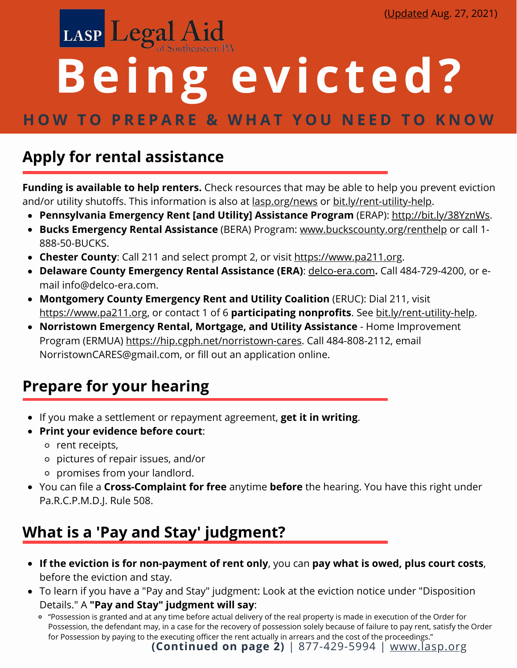# LASP Legal Aid **Being evicted? HOW TO PREPARE & WHAT YOU NEED TO KNOW**

### **Apply for rental [assistance](http://bit.ly/2Xgydzo)**

**Funding is [available](http://bit.ly/2Xgydzo) to help renters.** Check resources that may be able to help you prevent eviction and/or utility shutoffs. This information is also at [lasp.org/news](https://www.lasp.org/news) [or](http://bit.ly/2Xgydzo) [bit.ly/rent-utility-help.](http://bit.ly/2Xgydzo)

- **Pennsylvania Emergency Rent [and Utility] Assistance Program** (ERAP): <http://bit.ly/38YznWs>.
- **Bucks [Emergency](https://www.buckscounty.org/renthelp) Rental Assistance** (BERA) Program: [www.buckscounty.org/renthelp](https://buckscounty.org/LivingAndWorking/RentHelp) or call 1- 888-50-BUCKS.
- **[Chester](http://bit.ly/2Xgydzo) County**: Call 211 and select [prompt](http://bit.ly/2Xgydzo) 2, or visit [https://www.pa211.org](https://www.pa211.org/)[.](http://bit.ly/2Xgydzo)
- **Delaware County [Emergency](http://bit.ly/2Xgydzo) Rental Assistance (ERA)**: [delco-era.com](https://delco-era.com/)**[.](http://bit.ly/2Xgydzo)** Call 484-729-4200, or email [info@delco-era.com.](http://bit.ly/2Xgydzo)
- **[Montgomery](http://bit.ly/2Xgydzo) County [Emergency](https://yourwayhome.org/eruc) Rent and Utility Coalition** (ERUC): Dial [211,](http://bit.ly/2Xgydzo) visit [https://www.pa211.org](https://www.pa211.org/), or contact 1 of 6 **participating nonprofits**. [See](http://bit.ly/2Xgydzo) [bit.ly/rent-utility-help](https://bit.ly/rent-utility-help).
- **Norristown Emergency Rental, Mortgage, and Utility Assistance** Home Improvement Program (ERMUA) <https://hip.cgph.net/norristown-cares>. Call 484-808-2112, email NorristownCARES@gmail.com, or fill out an application online.

# **[Prepare](http://bit.ly/2Xgydzo) for your hearing**

- [If](http://bit.ly/2Xgydzo) you make a settlement or repayment [agreement,](http://bit.ly/2Xgydzo) **get it in [writing](http://bit.ly/2Xgydzo)**[.](http://bit.ly/2Xgydzo)
- **Print your [evidence](http://bit.ly/2Xgydzo) before court**[:](http://bit.ly/2Xgydzo)
	- o rent [receipts,](http://bit.ly/2Xgydzo)
	- [pictures](http://bit.ly/2Xgydzo) of repair issues, and/or
	- [promises](http://bit.ly/2Xgydzo) from your landlord.
- [You](http://bit.ly/2Xgydzo) can file a **[Cross-Complaint](http://bit.ly/2Xgydzo) for free** [anytime](http://bit.ly/2Xgydzo) **[before](http://bit.ly/2Xgydzo)** the hearing. You have this right under Pa.R.C.P.M.D.J. Rule 508.

### **What is a 'Pay and Stay' judgment?**

- **If the eviction is for non-payment of rent only**, you can **pay what is owed, plus court costs**, before the eviction and stay.
- To learn if you have a "Pay and Stay" judgment: Look at the eviction notice under "Disposition Details." A **"Pay and Stay" judgment will say**:
	- "Possession is granted and at any time before actual delivery of the real property is made in execution of the Order for Possession, the defendant may, in a case for the recovery of possession solely because of failure to pay rent, satisfy the Order for Possession by paying to the executing officer the rent actually in arrears and the cost of the proceedings."

**(Continued on page 2)** | 877-429-5994 | [www.lasp.org](https://www.lasp.org/)